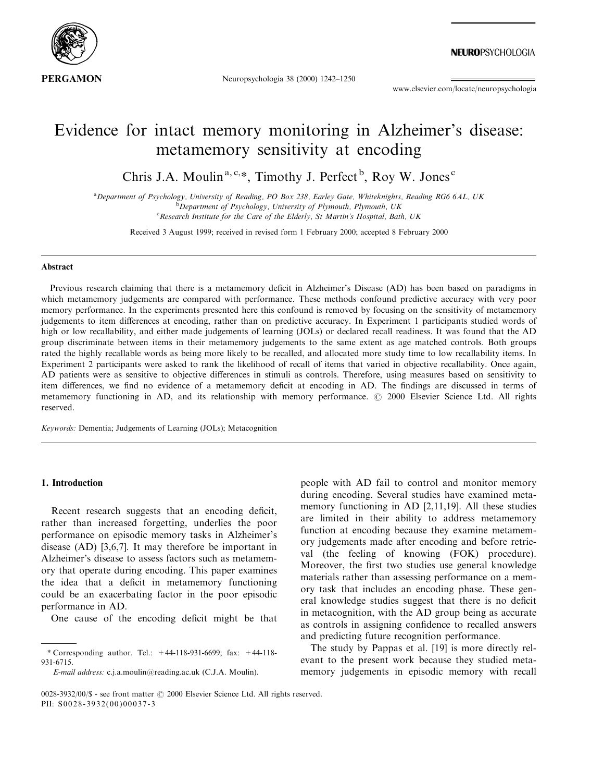

Neuropsychologia 38 (2000) 1242-1250

www.elsevier.com/locate/neuropsychologia

# Evidence for intact memory monitoring in Alzheimer's disease: metamemory sensitivity at encoding

Chris J.A. Moulin<sup>a, c,\*</sup>, Timothy J. Perfect<sup>b</sup>, Roy W. Jones<sup>c</sup>

<sup>a</sup> Department of Psychology, University of Reading, PO Box 238, Earley Gate, Whiteknights, Reading RG6 6AL, UK<br><sup>b</sup> Department of Beveloces, University of Blymouth, Blymouth, UK <sup>b</sup>Department of Psychology, University of Plymouth, Plymouth, UK <sup>c</sup> Research Institute for the Care of the Elderly, St Martin's Hospital, Bath, UK

Received 3 August 1999; received in revised form 1 February 2000; accepted 8 February 2000

#### Abstract

Previous research claiming that there is a metamemory deficit in Alzheimer's Disease (AD) has been based on paradigms in which metamemory judgements are compared with performance. These methods confound predictive accuracy with very poor memory performance. In the experiments presented here this confound is removed by focusing on the sensitivity of metamemory judgements to item differences at encoding, rather than on predictive accuracy. In Experiment 1 participants studied words of high or low recallability, and either made judgements of learning (JOLs) or declared recall readiness. It was found that the AD group discriminate between items in their metamemory judgements to the same extent as age matched controls. Both groups rated the highly recallable words as being more likely to be recalled, and allocated more study time to low recallability items. In Experiment 2 participants were asked to rank the likelihood of recall of items that varied in objective recallability. Once again, AD patients were as sensitive to objective differences in stimuli as controls. Therefore, using measures based on sensitivity to item differences, we find no evidence of a metamemory deficit at encoding in AD. The findings are discussed in terms of metamemory functioning in AD, and its relationship with memory performance. © 2000 Elsevier Science Ltd. All rights reserved.

Keywords: Dementia; Judgements of Learning (JOLs); Metacognition

## 1. Introduction

Recent research suggests that an encoding deficit, rather than increased forgetting, underlies the poor performance on episodic memory tasks in Alzheimer's disease (AD) [3,6,7]. It may therefore be important in Alzheimer's disease to assess factors such as metamemory that operate during encoding. This paper examines the idea that a deficit in metamemory functioning could be an exacerbating factor in the poor episodic performance in AD.

One cause of the encoding deficit might be that

people with AD fail to control and monitor memory during encoding. Several studies have examined metamemory functioning in AD [2,11,19]. All these studies are limited in their ability to address metamemory function at encoding because they examine metamemory judgements made after encoding and before retrieval (the feeling of knowing (FOK) procedure). Moreover, the first two studies use general knowledge materials rather than assessing performance on a memory task that includes an encoding phase. These general knowledge studies suggest that there is no deficit in metacognition, with the AD group being as accurate as controls in assigning confidence to recalled answers and predicting future recognition performance.

The study by Pappas et al. [19] is more directly relevant to the present work because they studied metamemory judgements in episodic memory with recall

<sup>\*</sup> Corresponding author. Tel.: +44-118-931-6699; fax: +44-118- 931-6715.

E-mail address: c.j.a.moulin@reading.ac.uk (C.J.A. Moulin).

<sup>0028-3932/00/\$ -</sup> see front matter  $\odot$  2000 Elsevier Science Ltd. All rights reserved. PII: S0028-3932(00)00037-3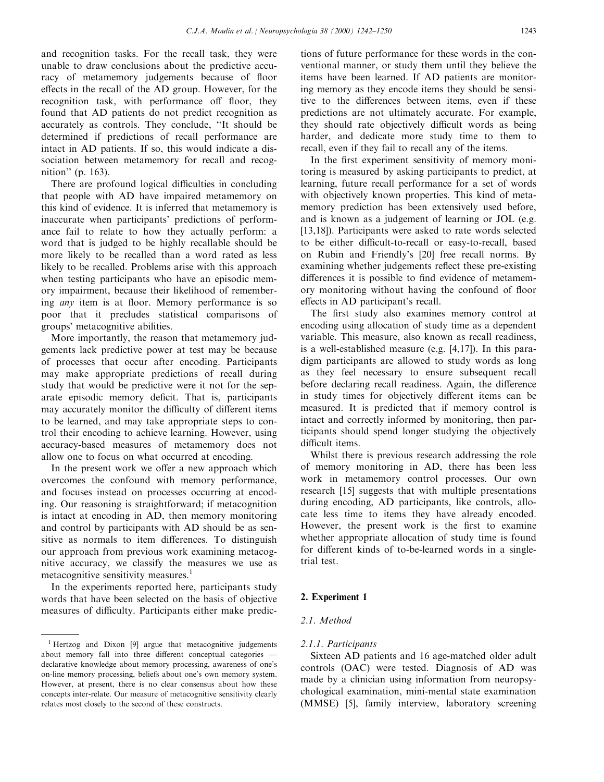and recognition tasks. For the recall task, they were unable to draw conclusions about the predictive accuracy of metamemory judgements because of floor effects in the recall of the AD group. However, for the recognition task, with performance off floor, they found that AD patients do not predict recognition as accurately as controls. They conclude, "It should be determined if predictions of recall performance are intact in AD patients. If so, this would indicate a dissociation between metamemory for recall and recognition'' (p. 163).

There are profound logical difficulties in concluding that people with AD have impaired metamemory on this kind of evidence. It is inferred that metamemory is inaccurate when participants' predictions of performance fail to relate to how they actually perform: a word that is judged to be highly recallable should be more likely to be recalled than a word rated as less likely to be recalled. Problems arise with this approach when testing participants who have an episodic memory impairment, because their likelihood of remembering *any* item is at floor. Memory performance is so poor that it precludes statistical comparisons of groups' metacognitive abilities.

More importantly, the reason that metamemory judgements lack predictive power at test may be because of processes that occur after encoding. Participants may make appropriate predictions of recall during study that would be predictive were it not for the separate episodic memory deficit. That is, participants may accurately monitor the difficulty of different items to be learned, and may take appropriate steps to control their encoding to achieve learning. However, using accuracy-based measures of metamemory does not allow one to focus on what occurred at encoding.

In the present work we offer a new approach which overcomes the confound with memory performance, and focuses instead on processes occurring at encoding. Our reasoning is straightforward; if metacognition is intact at encoding in AD, then memory monitoring and control by participants with AD should be as sensitive as normals to item differences. To distinguish our approach from previous work examining metacognitive accuracy, we classify the measures we use as metacognitive sensitivity measures.<sup>1</sup>

In the experiments reported here, participants study words that have been selected on the basis of objective measures of difficulty. Participants either make predic-

tions of future performance for these words in the conventional manner, or study them until they believe the items have been learned. If AD patients are monitoring memory as they encode items they should be sensitive to the differences between items, even if these predictions are not ultimately accurate. For example, they should rate objectively difficult words as being harder, and dedicate more study time to them to recall, even if they fail to recall any of the items.

In the first experiment sensitivity of memory monitoring is measured by asking participants to predict, at learning, future recall performance for a set of words with objectively known properties. This kind of metamemory prediction has been extensively used before, and is known as a judgement of learning or JOL (e.g. [13,18]). Participants were asked to rate words selected to be either difficult-to-recall or easy-to-recall, based on Rubin and Friendly's [20] free recall norms. By examining whether judgements reflect these pre-existing differences it is possible to find evidence of metamemory monitoring without having the confound of floor effects in AD participant's recall.

The first study also examines memory control at encoding using allocation of study time as a dependent variable. This measure, also known as recall readiness, is a well-established measure (e.g. [4,17]). In this paradigm participants are allowed to study words as long as they feel necessary to ensure subsequent recall before declaring recall readiness. Again, the difference in study times for objectively different items can be measured. It is predicted that if memory control is intact and correctly informed by monitoring, then participants should spend longer studying the objectively difficult items.

Whilst there is previous research addressing the role of memory monitoring in AD, there has been less work in metamemory control processes. Our own research [15] suggests that with multiple presentations during encoding, AD participants, like controls, allocate less time to items they have already encoded. However, the present work is the first to examine whether appropriate allocation of study time is found for different kinds of to-be-learned words in a singletrial test.

### 2. Experiment 1

### 2.1. Method

#### 2.1.1. Participants

Sixteen AD patients and 16 age-matched older adult controls (OAC) were tested. Diagnosis of AD was made by a clinician using information from neuropsychological examination, mini-mental state examination (MMSE) [5], family interview, laboratory screening

 $1$  Hertzog and Dixon [9] argue that metacognitive judgements about memory fall into three different conceptual categories  $$ declarative knowledge about memory processing, awareness of one's on-line memory processing, beliefs about one's own memory system. However, at present, there is no clear consensus about how these concepts inter-relate. Our measure of metacognitive sensitivity clearly relates most closely to the second of these constructs.